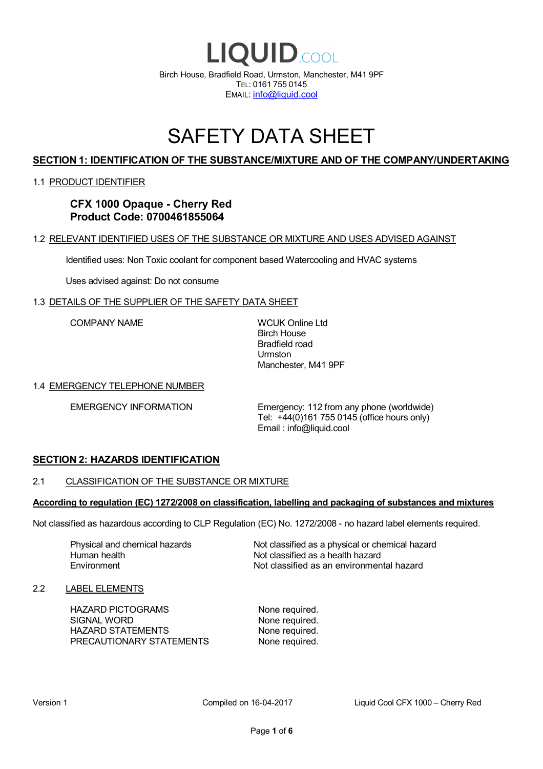

# SAFETY DATA SHEET

# **SECTION 1: IDENTIFICATION OF THE SUBSTANCE/MIXTURE AND OF THE COMPANY/UNDERTAKING**

#### 1.1 PRODUCT IDENTIFIER

**CFX 1000 Opaque - Cherry Red Product Code: 0700461855064**

#### 1.2 RELEVANT IDENTIFIED USES OF THE SUBSTANCE OR MIXTURE AND USES ADVISED AGAINST

Identified uses: Non Toxic coolant for component based Watercooling and HVAC systems

Uses advised against: Do not consume

#### 1.3 DETAILS OF THE SUPPLIER OF THE SAFETY DATA SHEET

COMPANY NAME WCUK Online Ltd

Birch House Bradfield road Urmston Manchester, M41 9PF

#### 1.4 EMERGENCY TELEPHONE NUMBER

EMERGENCY INFORMATION Emergency: 112 from any phone (worldwide) Tel: +44(0)161 755 0145 (office hours only) Email : info@liquid.cool

#### **SECTION 2: HAZARDS IDENTIFICATION**

#### 2.1 CLASSIFICATION OF THE SUBSTANCE OR MIXTURE

#### **According to regulation (EC) 1272/2008 on classification, labelling and packaging of substances and mixtures**

Not classified as hazardous according to CLP Regulation (EC) No. 1272/2008 - no hazard label elements required.

Human health **Environment** 

Physical and chemical hazards Not classified as a physical or chemical hazard Not classified as a health hazard Not classified as an environmental hazard

#### 2.2 LABEL ELEMENTS

HAZARD PICTOGRAMS None required. SIGNAL WORD None required. HAZARD STATEMENTS None required. PRECAUTIONARY STATEMENTS None required.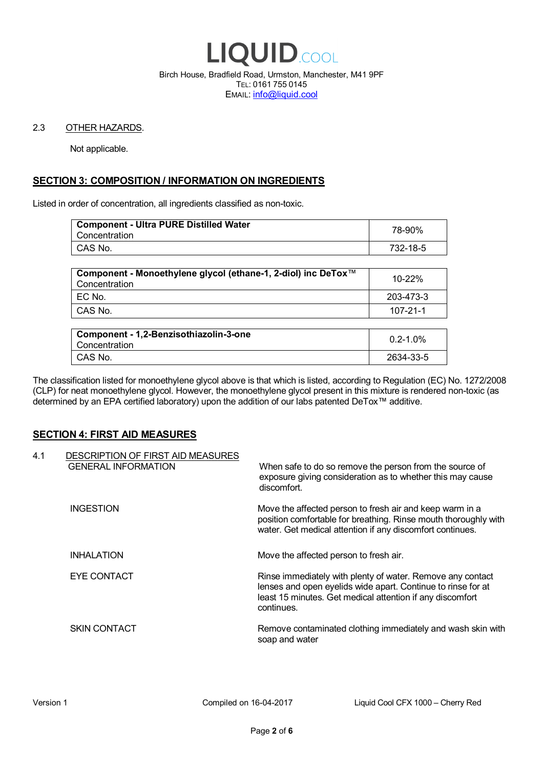

Birch House, Bradfield Road, Urmston, Manchester, M41 9PF TEL: 0161 755 0145 EMAIL: info@liquid.cool

#### 2.3 OTHER HAZARDS.

Not applicable.

# **SECTION 3: COMPOSITION / INFORMATION ON INGREDIENTS**

Listed in order of concentration, all ingredients classified as non-toxic.

| <b>Component - Ultra PURE Distilled Water</b><br>Concentration | 78-90%   |
|----------------------------------------------------------------|----------|
| CAS No.                                                        | 732-18-5 |
|                                                                |          |

| Component - Monoethylene glycol (ethane-1, 2-diol) inc DeTox™<br>Concentration | 10-22%    |
|--------------------------------------------------------------------------------|-----------|
| I EC No.                                                                       | 203-473-3 |
| CAS No.                                                                        | 107-21-1  |

| Component - 1,2-Benzisothiazolin-3-one<br>Concentration | $0.2 - 1.0\%$ |
|---------------------------------------------------------|---------------|
| CAS No.                                                 | 2634-33-5     |

The classification listed for monoethylene glycol above is that which is listed, according to Regulation (EC) No. 1272/2008 (CLP) for neat monoethylene glycol. However, the monoethylene glycol present in this mixture is rendered non-toxic (as determined by an EPA certified laboratory) upon the addition of our labs patented DeTox™ additive.

#### **SECTION 4: FIRST AID MEASURES**

| 4.1 | DESCRIPTION OF FIRST AID MEASURES<br><b>GENERAL INFORMATION</b> | When safe to do so remove the person from the source of<br>exposure giving consideration as to whether this may cause<br>discomfort.                                                                  |
|-----|-----------------------------------------------------------------|-------------------------------------------------------------------------------------------------------------------------------------------------------------------------------------------------------|
|     | <b>INGESTION</b>                                                | Move the affected person to fresh air and keep warm in a<br>position comfortable for breathing. Rinse mouth thoroughly with<br>water. Get medical attention if any discomfort continues.              |
|     | <b>INHALATION</b>                                               | Move the affected person to fresh air.                                                                                                                                                                |
|     | EYE CONTACT                                                     | Rinse immediately with plenty of water. Remove any contact<br>lenses and open eyelids wide apart. Continue to rinse for at<br>least 15 minutes. Get medical attention if any discomfort<br>continues. |
|     | <b>SKIN CONTACT</b>                                             | Remove contaminated clothing immediately and wash skin with<br>soap and water                                                                                                                         |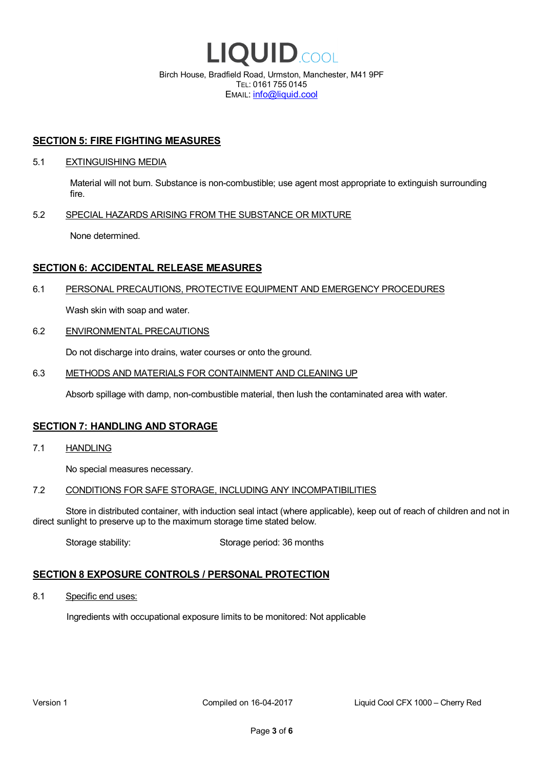

EMAIL: info@liquid.cool

#### **SECTION 5: FIRE FIGHTING MEASURES**

#### 5.1 EXTINGUISHING MEDIA

Material will not burn. Substance is non-combustible; use agent most appropriate to extinguish surrounding fire.

#### 5.2 SPECIAL HAZARDS ARISING FROM THE SUBSTANCE OR MIXTURE

None determined.

### **SECTION 6: ACCIDENTAL RELEASE MEASURES**

#### 6.1 PERSONAL PRECAUTIONS, PROTECTIVE EQUIPMENT AND EMERGENCY PROCEDURES

Wash skin with soap and water.

#### 6.2 ENVIRONMENTAL PRECAUTIONS

Do not discharge into drains, water courses or onto the ground.

#### 6.3 METHODS AND MATERIALS FOR CONTAINMENT AND CLEANING UP

Absorb spillage with damp, non-combustible material, then lush the contaminated area with water.

#### **SECTION 7: HANDLING AND STORAGE**

7.1 HANDLING

No special measures necessary.

#### 7.2 CONDITIONS FOR SAFE STORAGE, INCLUDING ANY INCOMPATIBILITIES

Store in distributed container, with induction seal intact (where applicable), keep out of reach of children and not in direct sunlight to preserve up to the maximum storage time stated below.

Storage stability: Storage period: 36 months

# **SECTION 8 EXPOSURE CONTROLS / PERSONAL PROTECTION**

8.1 Specific end uses:

Ingredients with occupational exposure limits to be monitored: Not applicable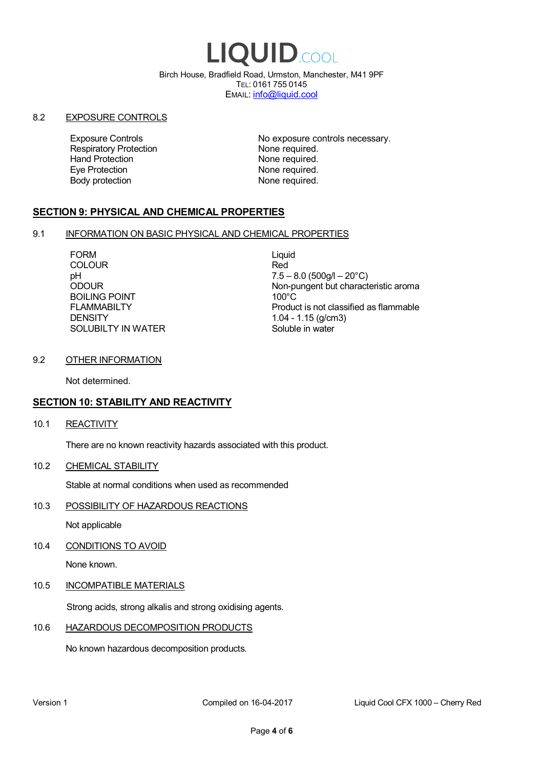# LIQUID.COOL

Birch House, Bradfield Road, Urmston, Manchester, M41 9PF TEL: 0161 755 0145 EMAIL: info@liquid.cool

#### 8.2 EXPOSURE CONTROLS

Respiratory Protection **None required.**<br>
Hand Protection **None required.** Eye Protection **None required.** Body protection None required.

Exposure Controls **Exposure Controls** No exposure controls necessary. None required.

# **SECTION 9: PHYSICAL AND CHEMICAL PROPERTIES**

#### 9.1 INFORMATION ON BASIC PHYSICAL AND CHEMICAL PROPERTIES

FORM Liquid COLOUR Red BOILING POINT FLAMMABILTY **DENSITY** SOLUBILTY IN WATER

pH<br>
DDOUR
20°C)
2000UR
2000UR
2000UR
2000UR Non-pungent but characteristic aroma 100°C Product is not classified as flammable 1.04 - 1.15 (g/cm3) Soluble in water

#### 9.2 OTHER INFORMATION

Not determined.

# **SECTION 10: STABILITY AND REACTIVITY**

10.1 REACTIVITY

There are no known reactivity hazards associated with this product.

10.2 CHEMICAL STABILITY

Stable at normal conditions when used as recommended

10.3 POSSIBILITY OF HAZARDOUS REACTIONS

Not applicable

10.4 CONDITIONS TO AVOID

None known.

#### 10.5 INCOMPATIBLE MATERIALS

Strong acids, strong alkalis and strong oxidising agents.

# 10.6 HAZARDOUS DECOMPOSITION PRODUCTS

No known hazardous decomposition products.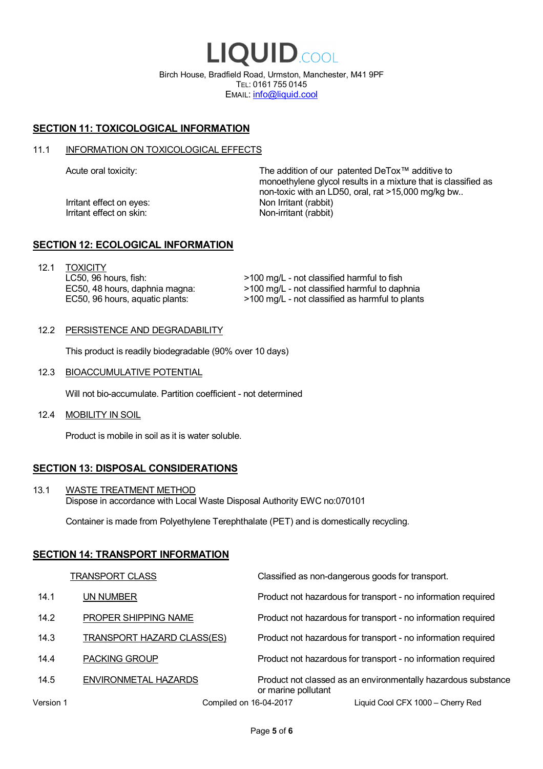LIQUID.COOL Birch House, Bradfield Road, Urmston, Manchester, M41 9PF TEL: 0161 755 0145 EMAIL: info@liquid.cool

# **SECTION 11: TOXICOLOGICAL INFORMATION**

#### 11.1 INFORMATION ON TOXICOLOGICAL EFFECTS

Irritant effect on eves: Non Irritant (rabbit) Irritant effect on skin: Non-irritant (rabbit)

Acute oral toxicity: The addition of our patented DeTox™ additive to monoethylene glycol results in a mixture that is classified as non-toxic with an LD50, oral, rat >15,000 mg/kg bw..

#### **SECTION 12: ECOLOGICAL INFORMATION**

12.1 TOXICITY LC50, 96 hours, fish: EC50, 48 hours, daphnia magna: EC50, 96 hours, aquatic plants:

>100 mg/L - not classified harmful to fish >100 mg/L - not classified harmful to daphnia >100 mg/L - not classified as harmful to plants

#### 12.2 PERSISTENCE AND DEGRADABILITY

This product is readily biodegradable (90% over 10 days)

12.3 BIOACCUMULATIVE POTENTIAL

Will not bio-accumulate. Partition coefficient - not determined

12.4 MOBILITY IN SOIL

Product is mobile in soil as it is water soluble.

# **SECTION 13: DISPOSAL CONSIDERATIONS**

13.1 WASTE TREATMENT METHOD Dispose in accordance with Local Waste Disposal Authority EWC no:070101

Container is made from Polyethylene Terephthalate (PET) and is domestically recycling.

#### **SECTION 14: TRANSPORT INFORMATION**

|           | <b>TRANSPORT CLASS</b>            | Classified as non-dangerous goods for transport.                                     |
|-----------|-----------------------------------|--------------------------------------------------------------------------------------|
| 14.1      | UN NUMBER                         | Product not hazardous for transport - no information required                        |
| 14.2      | PROPER SHIPPING NAME              | Product not hazardous for transport - no information required                        |
| 14.3      | <b>TRANSPORT HAZARD CLASS(ES)</b> | Product not hazardous for transport - no information required                        |
| 14.4      | <b>PACKING GROUP</b>              | Product not hazardous for transport - no information required                        |
| 14.5      | ENVIRONMETAL HAZARDS              | Product not classed as an environmentally hazardous substance<br>or marine pollutant |
| Version 1 | Compiled on 16-04-2017            | Liquid Cool CFX 1000 - Cherry Red                                                    |